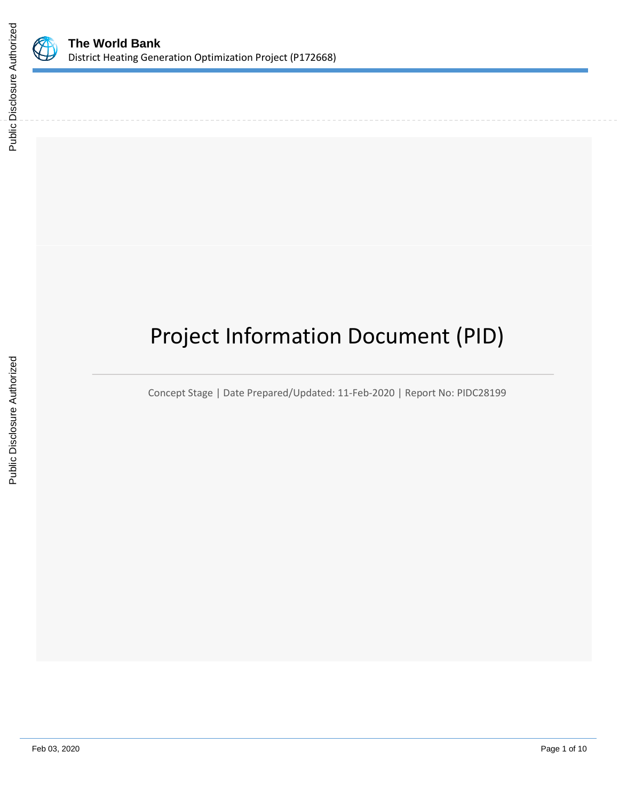

# Project Information Document (PID)

Concept Stage | Date Prepared/Updated: 11-Feb-2020 | Report No: PIDC28199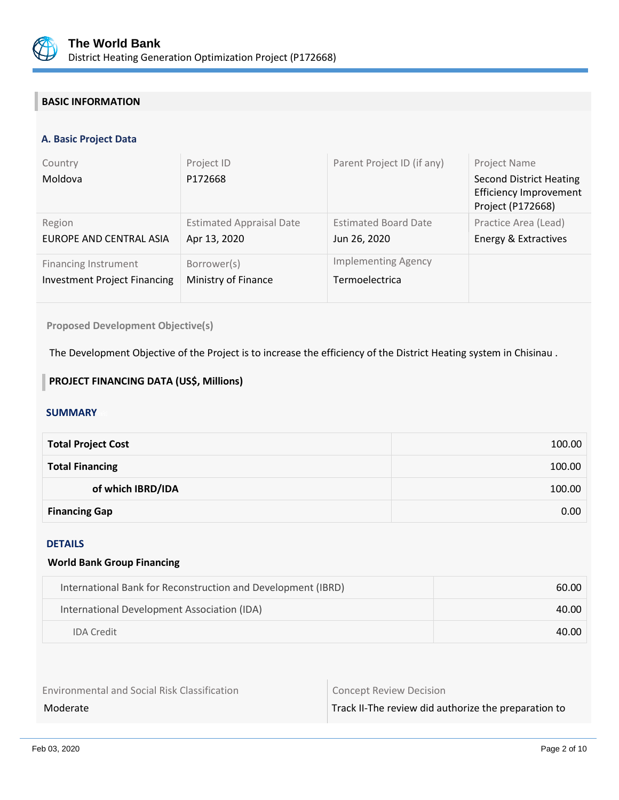

# **BASIC INFORMATION**

#### **A. Basic Project Data**

| Country<br>Moldova                  | Project ID<br>P172668           | Parent Project ID (if any)  | Project Name<br><b>Second District Heating</b><br><b>Efficiency Improvement</b><br>Project (P172668) |
|-------------------------------------|---------------------------------|-----------------------------|------------------------------------------------------------------------------------------------------|
| Region                              | <b>Estimated Appraisal Date</b> | <b>Estimated Board Date</b> | Practice Area (Lead)                                                                                 |
| EUROPE AND CENTRAL ASIA             | Apr 13, 2020                    | Jun 26, 2020                | Energy & Extractives                                                                                 |
| <b>Financing Instrument</b>         | Borrower(s)                     | <b>Implementing Agency</b>  |                                                                                                      |
| <b>Investment Project Financing</b> | Ministry of Finance             | Termoelectrica              |                                                                                                      |

# **Proposed Development Objective(s)**

The Development Objective of the Project is to increase the efficiency of the District Heating system in Chisinau .

#### **PROJECT FINANCING DATA (US\$, Millions)**

# **SUMMARY**

| <b>Total Project Cost</b> | 100.00 |
|---------------------------|--------|
| <b>Total Financing</b>    | 100.00 |
| of which IBRD/IDA         | 100.00 |
| <b>Financing Gap</b>      | 0.00   |

#### DETAILS

#### **World Bank Group Financing**

| International Bank for Reconstruction and Development (IBRD) | 60.00 |
|--------------------------------------------------------------|-------|
| International Development Association (IDA)                  | 40.00 |
| <b>IDA</b> Credit                                            | 40.00 |

Environmental and Social Risk Classification **Concept Review Decision** 

Moderate Moderate Track II-The review did authorize the preparation to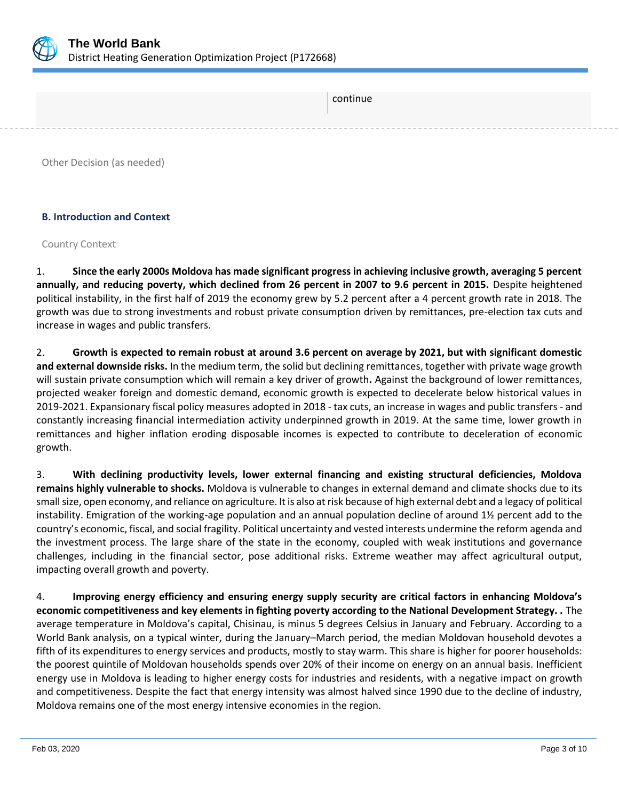

continue

Other Decision (as needed)

#### **B. Introduction and Context**

Country Context

1. **Since the early 2000s Moldova has made significant progress in achieving inclusive growth, averaging 5 percent annually, and reducing poverty, which declined from 26 percent in 2007 to 9.6 percent in 2015.** Despite heightened political instability, in the first half of 2019 the economy grew by 5.2 percent after a 4 percent growth rate in 2018. The growth was due to strong investments and robust private consumption driven by remittances, pre-election tax cuts and increase in wages and public transfers.

2. **Growth is expected to remain robust at around 3.6 percent on average by 2021, but with significant domestic and external downside risks.** In the medium term, the solid but declining remittances, together with private wage growth will sustain private consumption which will remain a key driver of growth**.** Against the background of lower remittances, projected weaker foreign and domestic demand, economic growth is expected to decelerate below historical values in 2019-2021. Expansionary fiscal policy measures adopted in 2018 - tax cuts, an increase in wages and public transfers - and constantly increasing financial intermediation activity underpinned growth in 2019. At the same time, lower growth in remittances and higher inflation eroding disposable incomes is expected to contribute to deceleration of economic growth.

3. **With declining productivity levels, lower external financing and existing structural deficiencies, Moldova remains highly vulnerable to shocks.** Moldova is vulnerable to changes in external demand and climate shocks due to its small size, open economy, and reliance on agriculture. It is also at risk because of high external debt and a legacy of political instability. Emigration of the working-age population and an annual population decline of around 1½ percent add to the country's economic, fiscal, and social fragility. Political uncertainty and vested interests undermine the reform agenda and the investment process. The large share of the state in the economy, coupled with weak institutions and governance challenges, including in the financial sector, pose additional risks. Extreme weather may affect agricultural output, impacting overall growth and poverty.

4. **Improving energy efficiency and ensuring energy supply security are critical factors in enhancing Moldova's economic competitiveness and key elements in fighting poverty according to the National Development Strategy. .** The average temperature in Moldova's capital, Chisinau, is minus 5 degrees Celsius in January and February. According to a World Bank analysis, on a typical winter, during the January–March period, the median Moldovan household devotes a fifth of its expenditures to energy services and products, mostly to stay warm. This share is higher for poorer households: the poorest quintile of Moldovan households spends over 20% of their income on energy on an annual basis. Inefficient energy use in Moldova is leading to higher energy costs for industries and residents, with a negative impact on growth and competitiveness. Despite the fact that energy intensity was almost halved since 1990 due to the decline of industry, Moldova remains one of the most energy intensive economies in the region.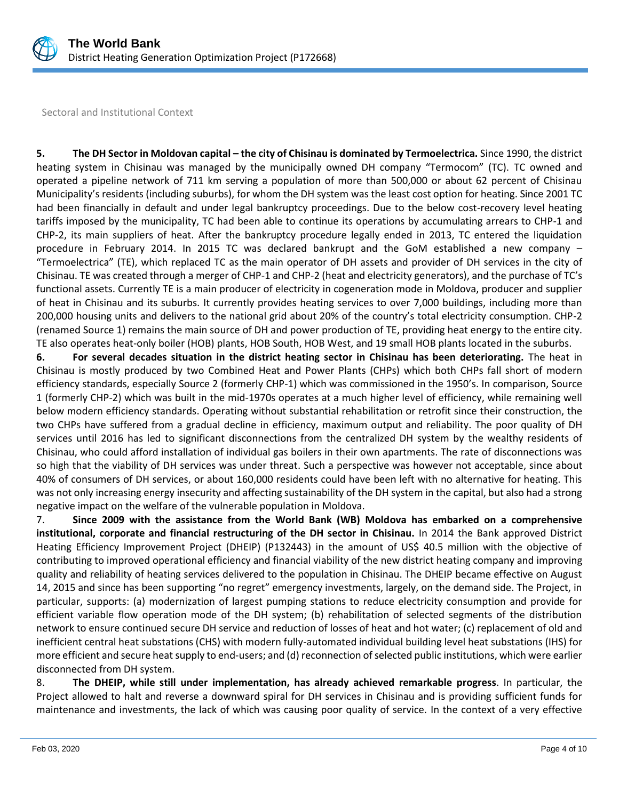

Sectoral and Institutional Context

**5. The DH Sector in Moldovan capital – the city of Chisinau is dominated by Termoelectrica.** Since 1990, the district heating system in Chisinau was managed by the municipally owned DH company "Termocom" (TC). TC owned and operated a pipeline network of 711 km serving a population of more than 500,000 or about 62 percent of Chisinau Municipality's residents (including suburbs), for whom the DH system was the least cost option for heating. Since 2001 TC had been financially in default and under legal bankruptcy proceedings. Due to the below cost-recovery level heating tariffs imposed by the municipality, TC had been able to continue its operations by accumulating arrears to CHP-1 and CHP-2, its main suppliers of heat. After the bankruptcy procedure legally ended in 2013, TC entered the liquidation procedure in February 2014. In 2015 TC was declared bankrupt and the GoM established a new company – "Termoelectrica" (TE), which replaced TC as the main operator of DH assets and provider of DH services in the city of Chisinau. TE was created through a merger of CHP-1 and CHP-2 (heat and electricity generators), and the purchase of TC's functional assets. Currently TE is a main producer of electricity in cogeneration mode in Moldova, producer and supplier of heat in Chisinau and its suburbs. It currently provides heating services to over 7,000 buildings, including more than 200,000 housing units and delivers to the national grid about 20% of the country's total electricity consumption. CHP-2 (renamed Source 1) remains the main source of DH and power production of TE, providing heat energy to the entire city. TE also operates heat-only boiler (HOB) plants, HOB South, HOB West, and 19 small HOB plants located in the suburbs.

**6. For several decades situation in the district heating sector in Chisinau has been deteriorating.** The heat in Chisinau is mostly produced by two Combined Heat and Power Plants (CHPs) which both CHPs fall short of modern efficiency standards, especially Source 2 (formerly CHP-1) which was commissioned in the 1950's. In comparison, Source 1 (formerly CHP-2) which was built in the mid-1970s operates at a much higher level of efficiency, while remaining well below modern efficiency standards. Operating without substantial rehabilitation or retrofit since their construction, the two CHPs have suffered from a gradual decline in efficiency, maximum output and reliability. The poor quality of DH services until 2016 has led to significant disconnections from the centralized DH system by the wealthy residents of Chisinau, who could afford installation of individual gas boilers in their own apartments. The rate of disconnections was so high that the viability of DH services was under threat. Such a perspective was however not acceptable, since about 40% of consumers of DH services, or about 160,000 residents could have been left with no alternative for heating. This was not only increasing energy insecurity and affecting sustainability of the DH system in the capital, but also had a strong negative impact on the welfare of the vulnerable population in Moldova.

7. **Since 2009 with the assistance from the World Bank (WB) Moldova has embarked on a comprehensive institutional, corporate and financial restructuring of the DH sector in Chisinau.** In 2014 the Bank approved District Heating Efficiency Improvement Project (DHEIP) (P132443) in the amount of US\$ 40.5 million with the objective of contributing to improved operational efficiency and financial viability of the new district heating company and improving quality and reliability of heating services delivered to the population in Chisinau. The DHEIP became effective on August 14, 2015 and since has been supporting "no regret" emergency investments, largely, on the demand side. The Project, in particular, supports: (a) modernization of largest pumping stations to reduce electricity consumption and provide for efficient variable flow operation mode of the DH system; (b) rehabilitation of selected segments of the distribution network to ensure continued secure DH service and reduction of losses of heat and hot water; (c) replacement of old and inefficient central heat substations (CHS) with modern fully-automated individual building level heat substations (IHS) for more efficient and secure heat supply to end-users; and (d) reconnection of selected public institutions, which were earlier disconnected from DH system.

8. **The DHEIP, while still under implementation, has already achieved remarkable progress**. In particular, the Project allowed to halt and reverse a downward spiral for DH services in Chisinau and is providing sufficient funds for maintenance and investments, the lack of which was causing poor quality of service. In the context of a very effective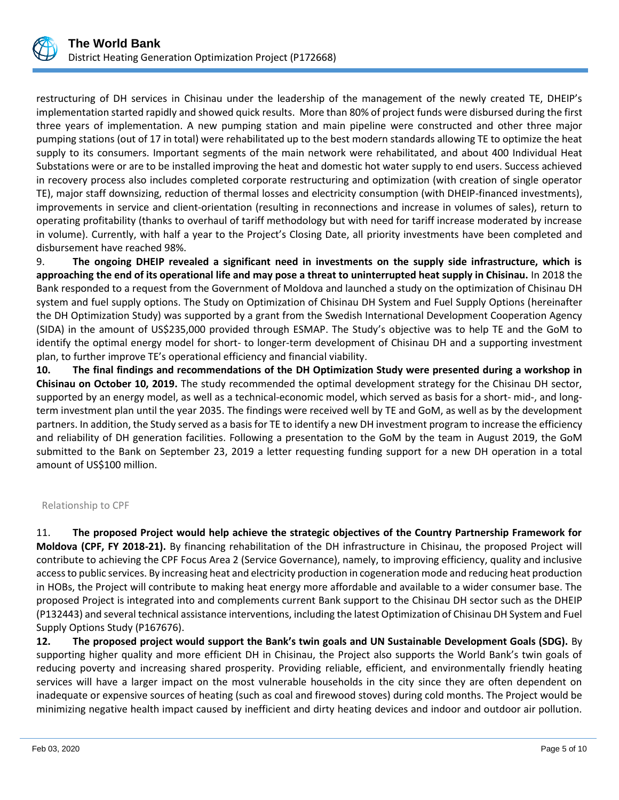restructuring of DH services in Chisinau under the leadership of the management of the newly created TE, DHEIP's implementation started rapidly and showed quick results. More than 80% of project funds were disbursed during the first three years of implementation. A new pumping station and main pipeline were constructed and other three major pumping stations (out of 17 in total) were rehabilitated up to the best modern standards allowing TE to optimize the heat supply to its consumers. Important segments of the main network were rehabilitated, and about 400 Individual Heat Substations were or are to be installed improving the heat and domestic hot water supply to end users. Success achieved in recovery process also includes completed corporate restructuring and optimization (with creation of single operator TE), major staff downsizing, reduction of thermal losses and electricity consumption (with DHEIP-financed investments), improvements in service and client-orientation (resulting in reconnections and increase in volumes of sales), return to operating profitability (thanks to overhaul of tariff methodology but with need for tariff increase moderated by increase in volume). Currently, with half a year to the Project's Closing Date, all priority investments have been completed and disbursement have reached 98%.

9. **The ongoing DHEIP revealed a significant need in investments on the supply side infrastructure, which is approaching the end of its operational life and may pose a threat to uninterrupted heat supply in Chisinau.** In 2018 the Bank responded to a request from the Government of Moldova and launched a study on the optimization of Chisinau DH system and fuel supply options. The Study on Optimization of Chisinau DH System and Fuel Supply Options (hereinafter the DH Optimization Study) was supported by a grant from the Swedish International Development Cooperation Agency (SIDA) in the amount of US\$235,000 provided through ESMAP. The Study's objective was to help TE and the GoM to identify the optimal energy model for short- to longer-term development of Chisinau DH and a supporting investment plan, to further improve TE's operational efficiency and financial viability.

**10. The final findings and recommendations of the DH Optimization Study were presented during a workshop in Chisinau on October 10, 2019.** The study recommended the optimal development strategy for the Chisinau DH sector, supported by an energy model, as well as a technical-economic model, which served as basis for a short- mid-, and longterm investment plan until the year 2035. The findings were received well by TE and GoM, as well as by the development partners. In addition, the Study served as a basis for TE to identify a new DH investment program to increase the efficiency and reliability of DH generation facilities. Following a presentation to the GoM by the team in August 2019, the GoM submitted to the Bank on September 23, 2019 a letter requesting funding support for a new DH operation in a total amount of US\$100 million.

#### Relationship to CPF

11. **The proposed Project would help achieve the strategic objectives of the Country Partnership Framework for Moldova (CPF, FY 2018-21).** By financing rehabilitation of the DH infrastructure in Chisinau, the proposed Project will contribute to achieving the CPF Focus Area 2 (Service Governance), namely, to improving efficiency, quality and inclusive access to public services. By increasing heat and electricity production in cogeneration mode and reducing heat production in HOBs, the Project will contribute to making heat energy more affordable and available to a wider consumer base. The proposed Project is integrated into and complements current Bank support to the Chisinau DH sector such as the DHEIP (P132443) and several technical assistance interventions, including the latest Optimization of Chisinau DH System and Fuel Supply Options Study (P167676).

**12. The proposed project would support the Bank's twin goals and UN Sustainable Development Goals (SDG).** By supporting higher quality and more efficient DH in Chisinau, the Project also supports the World Bank's twin goals of reducing poverty and increasing shared prosperity. Providing reliable, efficient, and environmentally friendly heating services will have a larger impact on the most vulnerable households in the city since they are often dependent on inadequate or expensive sources of heating (such as coal and firewood stoves) during cold months. The Project would be minimizing negative health impact caused by inefficient and dirty heating devices and indoor and outdoor air pollution.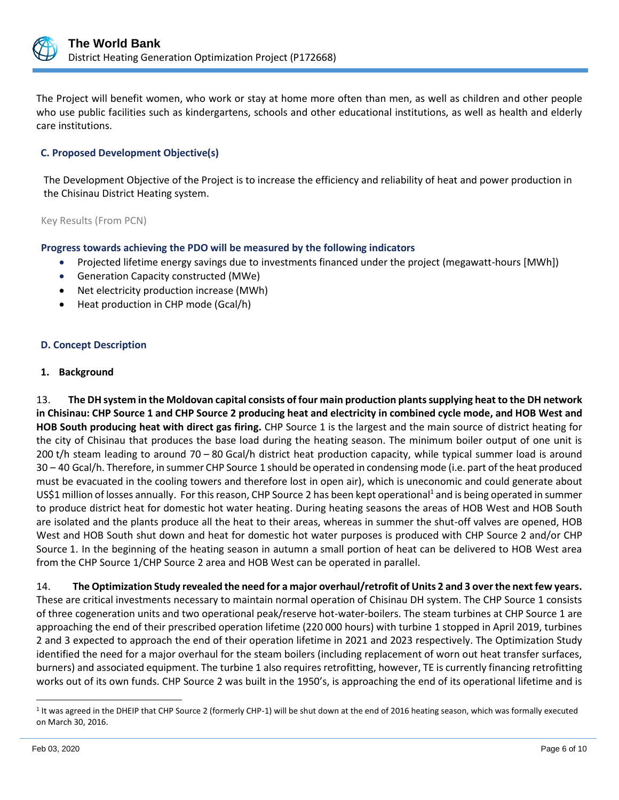

The Project will benefit women, who work or stay at home more often than men, as well as children and other people who use public facilities such as kindergartens, schools and other educational institutions, as well as health and elderly care institutions.

# **C. Proposed Development Objective(s)**

The Development Objective of the Project is to increase the efficiency and reliability of heat and power production in the Chisinau District Heating system.

Key Results (From PCN)

## **Progress towards achieving the PDO will be measured by the following indicators**

- Projected lifetime energy savings due to investments financed under the project (megawatt-hours [MWh])
- Generation Capacity constructed (MWe)
- Net electricity production increase (MWh)
- Heat production in CHP mode (Gcal/h)

#### **D. Concept Description**

#### **1. Background**

13. **The DH system in the Moldovan capital consists of four main production plants supplying heat to the DH network in Chisinau: CHP Source 1 and CHP Source 2 producing heat and electricity in combined cycle mode, and HOB West and HOB South producing heat with direct gas firing.** CHP Source 1 is the largest and the main source of district heating for the city of Chisinau that produces the base load during the heating season. The minimum boiler output of one unit is 200 t/h steam leading to around 70 – 80 Gcal/h district heat production capacity, while typical summer load is around 30 – 40 Gcal/h. Therefore, in summer CHP Source 1 should be operated in condensing mode (i.e. part of the heat produced must be evacuated in the cooling towers and therefore lost in open air), which is uneconomic and could generate about US\$1 million of losses annually. For this reason, CHP Source 2 has been kept operational<sup>1</sup> and is being operated in summer to produce district heat for domestic hot water heating. During heating seasons the areas of HOB West and HOB South are isolated and the plants produce all the heat to their areas, whereas in summer the shut-off valves are opened, HOB West and HOB South shut down and heat for domestic hot water purposes is produced with CHP Source 2 and/or CHP Source 1. In the beginning of the heating season in autumn a small portion of heat can be delivered to HOB West area from the CHP Source 1/CHP Source 2 area and HOB West can be operated in parallel.

14. **The Optimization Study revealed the need for a major overhaul/retrofit of Units 2 and 3 over the next few years.** These are critical investments necessary to maintain normal operation of Chisinau DH system. The CHP Source 1 consists of three cogeneration units and two operational peak/reserve hot-water-boilers. The steam turbines at CHP Source 1 are approaching the end of their prescribed operation lifetime (220 000 hours) with turbine 1 stopped in April 2019, turbines 2 and 3 expected to approach the end of their operation lifetime in 2021 and 2023 respectively. The Optimization Study identified the need for a major overhaul for the steam boilers (including replacement of worn out heat transfer surfaces, burners) and associated equipment. The turbine 1 also requires retrofitting, however, TE is currently financing retrofitting works out of its own funds. CHP Source 2 was built in the 1950's, is approaching the end of its operational lifetime and is

<sup>&</sup>lt;sup>1</sup> It was agreed in the DHEIP that CHP Source 2 (formerly CHP-1) will be shut down at the end of 2016 heating season, which was formally executed on March 30, 2016.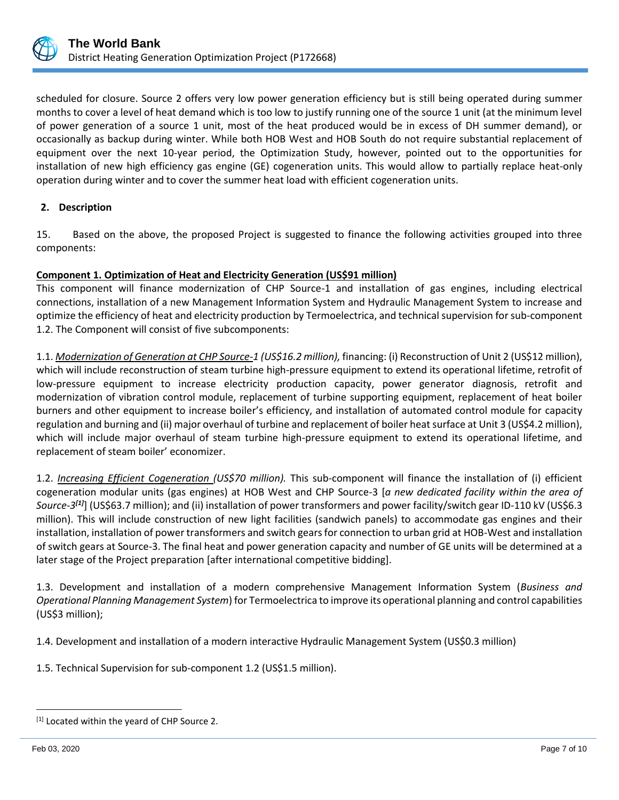

scheduled for closure. Source 2 offers very low power generation efficiency but is still being operated during summer months to cover a level of heat demand which is too low to justify running one of the source 1 unit (at the minimum level of power generation of a source 1 unit, most of the heat produced would be in excess of DH summer demand), or occasionally as backup during winter. While both HOB West and HOB South do not require substantial replacement of equipment over the next 10-year period, the Optimization Study, however, pointed out to the opportunities for installation of new high efficiency gas engine (GE) cogeneration units. This would allow to partially replace heat-only operation during winter and to cover the summer heat load with efficient cogeneration units.

# **2. Description**

15. Based on the above, the proposed Project is suggested to finance the following activities grouped into three components:

## **Component 1. Optimization of Heat and Electricity Generation (US\$91 million)**

This component will finance modernization of CHP Source-1 and installation of gas engines, including electrical connections, installation of a new Management Information System and Hydraulic Management System to increase and optimize the efficiency of heat and electricity production by Termoelectrica, and technical supervision for sub-component 1.2. The Component will consist of five subcomponents:

1.1. *Modernization of Generation at CHP Source-1 (US\$16.2 million),* financing: (i) Reconstruction of Unit 2 (US\$12 million), which will include reconstruction of steam turbine high-pressure equipment to extend its operational lifetime, retrofit of low-pressure equipment to increase electricity production capacity, power generator diagnosis, retrofit and modernization of vibration control module, replacement of turbine supporting equipment, replacement of heat boiler burners and other equipment to increase boiler's efficiency, and installation of automated control module for capacity regulation and burning and (ii) major overhaul of turbine and replacement of boiler heat surface at Unit 3 (US\$4.2 million), which will include major overhaul of steam turbine high-pressure equipment to extend its operational lifetime, and replacement of steam boiler' economizer.

1.2. *Increasing Efficient Cogeneration (US\$70 million).* This sub-component will finance the installation of (i) efficient cogeneration modular units (gas engines) at HOB West and CHP Source-3 [*a new dedicated facility within the area of*  Source-3<sup>[1]</sup>] (US\$63.7 million); and (ii) installation of power transformers and power facility/switch gear ID-110 kV (US\$6.3 million). This will include construction of new light facilities (sandwich panels) to accommodate gas engines and their installation, installation of power transformers and switch gears for connection to urban grid at HOB-West and installation of switch gears at Source-3. The final heat and power generation capacity and number of GE units will be determined at a later stage of the Project preparation [after international competitive bidding].

1.3. Development and installation of a modern comprehensive Management Information System (*Business and Operational Planning Management System*) for Termoelectrica to improve its operational planning and control capabilities (US\$3 million);

1.4. Development and installation of a modern interactive Hydraulic Management System (US\$0.3 million)

1.5. Technical Supervision for sub-component 1.2 (US\$1.5 million).

<sup>[1]</sup> Located within the yeard of CHP Source 2.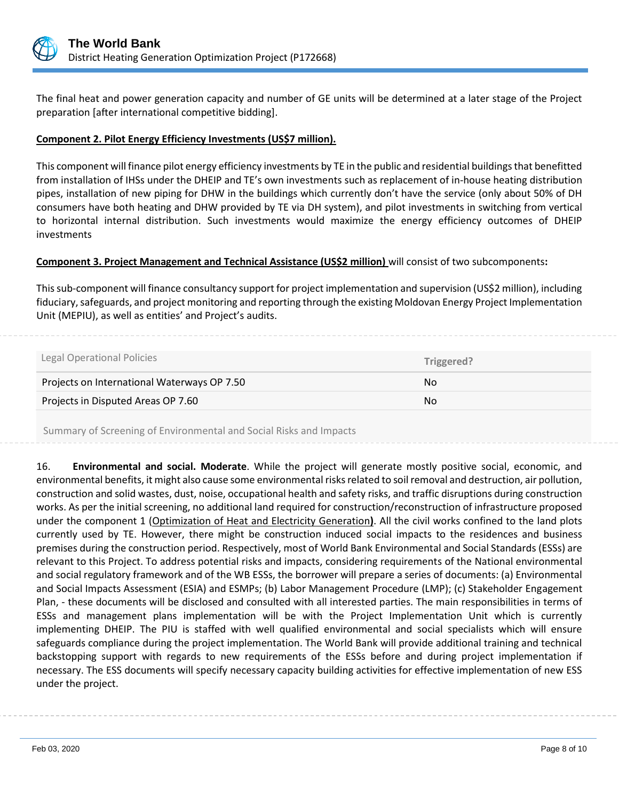

The final heat and power generation capacity and number of GE units will be determined at a later stage of the Project preparation [after international competitive bidding].

#### **Component 2. Pilot Energy Efficiency Investments (US\$7 million).**

This component will finance pilot energy efficiency investments by TE in the public and residential buildings that benefitted from installation of IHSs under the DHEIP and TE's own investments such as replacement of in-house heating distribution pipes, installation of new piping for DHW in the buildings which currently don't have the service (only about 50% of DH consumers have both heating and DHW provided by TE via DH system), and pilot investments in switching from vertical to horizontal internal distribution. Such investments would maximize the energy efficiency outcomes of DHEIP investments

#### **Component 3. Project Management and Technical Assistance (US\$2 million)** will consist of two subcomponents**:**

This sub-component will finance consultancy support for project implementation and supervision (US\$2 million), including fiduciary, safeguards, and project monitoring and reporting through the existing Moldovan Energy Project Implementation Unit (MEPIU), as well as entities' and Project's audits.

| Legal Operational Policies                                        | Triggered? |
|-------------------------------------------------------------------|------------|
| Projects on International Waterways OP 7.50                       | No.        |
| Projects in Disputed Areas OP 7.60                                | No         |
| Cummaniaf Carooning of Environmental and Cocial Dicks and Impacts |            |

Summary of Screening of Environmental and Social Risks and Impacts

16. **Environmental and social. Moderate**. While the project will generate mostly positive social, economic, and environmental benefits, it might also cause some environmental risks related to soil removal and destruction, air pollution, construction and solid wastes, dust, noise, occupational health and safety risks, and traffic disruptions during construction works. As per the initial screening, no additional land required for construction/reconstruction of infrastructure proposed under the component 1 (Optimization of Heat and Electricity Generation**)**. All the civil works confined to the land plots currently used by TE. However, there might be construction induced social impacts to the residences and business premises during the construction period. Respectively, most of World Bank Environmental and Social Standards (ESSs) are relevant to this Project. To address potential risks and impacts, considering requirements of the National environmental and social regulatory framework and of the WB ESSs, the borrower will prepare a series of documents: (a) Environmental and Social Impacts Assessment (ESIA) and ESMPs; (b) Labor Management Procedure (LMP); (c) Stakeholder Engagement Plan, - these documents will be disclosed and consulted with all interested parties. The main responsibilities in terms of ESSs and management plans implementation will be with the Project Implementation Unit which is currently implementing DHEIP. The PIU is staffed with well qualified environmental and social specialists which will ensure safeguards compliance during the project implementation. The World Bank will provide additional training and technical backstopping support with regards to new requirements of the ESSs before and during project implementation if necessary. The ESS documents will specify necessary capacity building activities for effective implementation of new ESS under the project.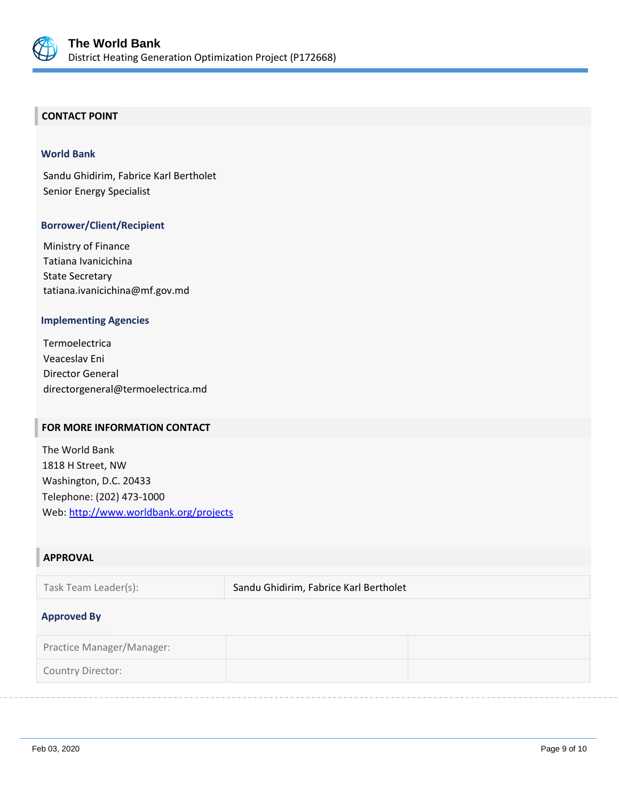

## **CONTACT POINT**

#### **World Bank**

Sandu Ghidirim, Fabrice Karl Bertholet Senior Energy Specialist

#### **Borrower/Client/Recipient**

Ministry of Finance Tatiana Ivanicichina State Secretary tatiana.ivanicichina@mf.gov.md

#### **Implementing Agencies**

Termoelectrica Veaceslav Eni Director General directorgeneral@termoelectrica.md

#### **FOR MORE INFORMATION CONTACT**

The World Bank 1818 H Street, NW Washington, D.C. 20433 Telephone: (202) 473-1000 Web:<http://www.worldbank.org/projects>

| <b>APPROVAL</b>                           |                                        |  |  |  |  |
|-------------------------------------------|----------------------------------------|--|--|--|--|
| Task Team Leader(s):                      | Sandu Ghidirim, Fabrice Karl Bertholet |  |  |  |  |
| <b>Approved By</b><br><b>METINUMALIDL</b> |                                        |  |  |  |  |
| Practice Manager/Manager:                 |                                        |  |  |  |  |
| Country Director:                         |                                        |  |  |  |  |
|                                           |                                        |  |  |  |  |